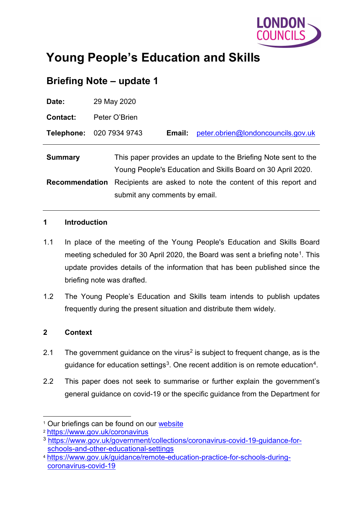

# **Young People's Education and Skills**

# **Briefing Note – update 1**

| Date:                 | 29 May 2020                                                                                                                   |
|-----------------------|-------------------------------------------------------------------------------------------------------------------------------|
| <b>Contact:</b>       | Peter O'Brien                                                                                                                 |
|                       | Telephone: 020 7934 9743<br>peter.obrien@londoncouncils.gov.uk<br>Email:                                                      |
| <b>Summary</b>        | This paper provides an update to the Briefing Note sent to the<br>Young People's Education and Skills Board on 30 April 2020. |
| <b>Recommendation</b> | Recipients are asked to note the content of this report and<br>submit any comments by email.                                  |

#### **1 Introduction**

- 1.1 In place of the meeting of the Young People's Education and Skills Board meeting scheduled for 30 April 2020, the Board was sent a briefing note<sup>1</sup>. This update provides details of the information that has been published since the briefing note was drafted.
- 1.2 The Young People's Education and Skills team intends to publish updates frequently during the present situation and distribute them widely.

## **2 Context**

- [2](#page-0-1).1 The government quidance on the virus<sup>2</sup> is subject to frequent change, as is the guidance for education settings<sup>[3](#page-0-2)</sup>. One recent addition is on remote education<sup>4</sup>.
- 2.2 This paper does not seek to summarise or further explain the government's general guidance on covid-19 or the specific guidance from the Department for

<span id="page-0-0"></span><sup>&</sup>lt;sup>1</sup> Our briefings can be found on our [website](https://www.londoncouncils.gov.uk/node/37307)

<span id="page-0-1"></span><sup>2</sup> <https://www.gov.uk/coronavirus>

<span id="page-0-2"></span><sup>3</sup> [https://www.gov.uk/government/collections/coronavirus-covid-19-guidance-for](https://www.gov.uk/government/collections/coronavirus-covid-19-guidance-for-schools-and-other-educational-settings)[schools-and-other-educational-settings](https://www.gov.uk/government/collections/coronavirus-covid-19-guidance-for-schools-and-other-educational-settings)

<span id="page-0-3"></span><sup>4</sup> [https://www.gov.uk/guidance/remote-education-practice-for-schools-during](https://www.gov.uk/guidance/remote-education-practice-for-schools-during-coronavirus-covid-19)[coronavirus-covid-19](https://www.gov.uk/guidance/remote-education-practice-for-schools-during-coronavirus-covid-19)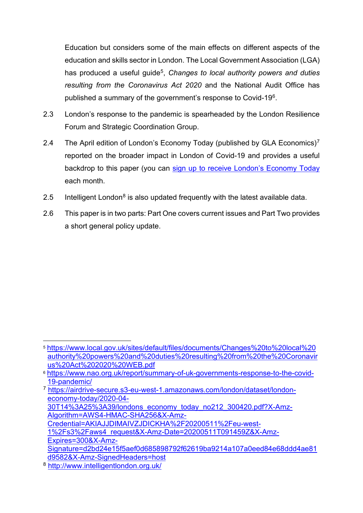Education but considers some of the main effects on different aspects of the education and skills sector in London. The Local Government Association (LGA) has produced a useful quide<sup>5</sup>, *Changes to local authority powers and duties resulting from the Coronavirus Act 2020* and the National Audit Office has published a summary of the government's response to Covid-19[6](#page-1-1).

- 2.3 London's response to the pandemic is spearheaded by the London Resilience Forum and Strategic Coordination Group.
- 2.4 The April edition of London's Economy Today (published by GLA Economics)<sup>[7](#page-1-2)</sup> reported on the broader impact in London of Covid-19 and provides a useful backdrop to this paper (you can [sign up to receive London's Economy Today](https://www.london.gov.uk/what-we-do/research-and-analysis/join-our-mailing-list-research-and-analysis) each month.
- 2.5 Intelligent London<sup>[8](#page-1-3)</sup> is also updated frequently with the latest available data.
- 2.6 This paper is in two parts: Part One covers current issues and Part Two provides a short general policy update.

<span id="page-1-0"></span><sup>5</sup>[.https://www.local.gov.uk/sites/default/files/documents/Changes%20to%20local%20](https://www.local.gov.uk/sites/default/files/documents/Changes%20to%20local%20authority%20powers%20and%20duties%20resulting%20from%20the%20Coronavirus%20Act%202020%20WEB.pdf) [authority%20powers%20and%20duties%20resulting%20from%20the%20Coronavir](https://www.local.gov.uk/sites/default/files/documents/Changes%20to%20local%20authority%20powers%20and%20duties%20resulting%20from%20the%20Coronavirus%20Act%202020%20WEB.pdf) [us%20Act%202020%20WEB.pdf](https://www.local.gov.uk/sites/default/files/documents/Changes%20to%20local%20authority%20powers%20and%20duties%20resulting%20from%20the%20Coronavirus%20Act%202020%20WEB.pdf)

<span id="page-1-1"></span><sup>6</sup> [https://www.nao.org.uk/report/summary-of-uk-governments-response-to-the-covid-](https://www.nao.org.uk/report/summary-of-uk-governments-response-to-the-covid-19-pandemic/)[19-pandemic/](https://www.nao.org.uk/report/summary-of-uk-governments-response-to-the-covid-19-pandemic/)

<span id="page-1-2"></span><sup>7</sup> [https://airdrive-secure.s3-eu-west-1.amazonaws.com/london/dataset/london](https://airdrive-secure.s3-eu-west-1.amazonaws.com/london/dataset/london-economy-today/2020-04-30T14%3A25%3A39/londons_economy_today_no212_300420.pdf?X-Amz-Algorithm=AWS4-HMAC-SHA256&X-Amz-Credential=AKIAJJDIMAIVZJDICKHA%2F20200511%2Feu-west-1%2Fs3%2Faws4_request&X-Amz-Date=20200511T091459Z&X-Amz-Expires=300&X-Amz-Signature=d2bd24e15f5aef0d685898792f62619ba9214a107a0eed84e68ddd4ae81d9582&X-Amz-SignedHeaders=host)[economy-today/2020-04-](https://airdrive-secure.s3-eu-west-1.amazonaws.com/london/dataset/london-economy-today/2020-04-30T14%3A25%3A39/londons_economy_today_no212_300420.pdf?X-Amz-Algorithm=AWS4-HMAC-SHA256&X-Amz-Credential=AKIAJJDIMAIVZJDICKHA%2F20200511%2Feu-west-1%2Fs3%2Faws4_request&X-Amz-Date=20200511T091459Z&X-Amz-Expires=300&X-Amz-Signature=d2bd24e15f5aef0d685898792f62619ba9214a107a0eed84e68ddd4ae81d9582&X-Amz-SignedHeaders=host)

[<sup>30</sup>T14%3A25%3A39/londons\\_economy\\_today\\_no212\\_300420.pdf?X-Amz-](https://airdrive-secure.s3-eu-west-1.amazonaws.com/london/dataset/london-economy-today/2020-04-30T14%3A25%3A39/londons_economy_today_no212_300420.pdf?X-Amz-Algorithm=AWS4-HMAC-SHA256&X-Amz-Credential=AKIAJJDIMAIVZJDICKHA%2F20200511%2Feu-west-1%2Fs3%2Faws4_request&X-Amz-Date=20200511T091459Z&X-Amz-Expires=300&X-Amz-Signature=d2bd24e15f5aef0d685898792f62619ba9214a107a0eed84e68ddd4ae81d9582&X-Amz-SignedHeaders=host)[Algorithm=AWS4-HMAC-SHA256&X-Amz-](https://airdrive-secure.s3-eu-west-1.amazonaws.com/london/dataset/london-economy-today/2020-04-30T14%3A25%3A39/londons_economy_today_no212_300420.pdf?X-Amz-Algorithm=AWS4-HMAC-SHA256&X-Amz-Credential=AKIAJJDIMAIVZJDICKHA%2F20200511%2Feu-west-1%2Fs3%2Faws4_request&X-Amz-Date=20200511T091459Z&X-Amz-Expires=300&X-Amz-Signature=d2bd24e15f5aef0d685898792f62619ba9214a107a0eed84e68ddd4ae81d9582&X-Amz-SignedHeaders=host)

[Credential=AKIAJJDIMAIVZJDICKHA%2F20200511%2Feu-west-](https://airdrive-secure.s3-eu-west-1.amazonaws.com/london/dataset/london-economy-today/2020-04-30T14%3A25%3A39/londons_economy_today_no212_300420.pdf?X-Amz-Algorithm=AWS4-HMAC-SHA256&X-Amz-Credential=AKIAJJDIMAIVZJDICKHA%2F20200511%2Feu-west-1%2Fs3%2Faws4_request&X-Amz-Date=20200511T091459Z&X-Amz-Expires=300&X-Amz-Signature=d2bd24e15f5aef0d685898792f62619ba9214a107a0eed84e68ddd4ae81d9582&X-Amz-SignedHeaders=host)

[<sup>1%2</sup>Fs3%2Faws4\\_request&X-Amz-Date=20200511T091459Z&X-Amz-](https://airdrive-secure.s3-eu-west-1.amazonaws.com/london/dataset/london-economy-today/2020-04-30T14%3A25%3A39/londons_economy_today_no212_300420.pdf?X-Amz-Algorithm=AWS4-HMAC-SHA256&X-Amz-Credential=AKIAJJDIMAIVZJDICKHA%2F20200511%2Feu-west-1%2Fs3%2Faws4_request&X-Amz-Date=20200511T091459Z&X-Amz-Expires=300&X-Amz-Signature=d2bd24e15f5aef0d685898792f62619ba9214a107a0eed84e68ddd4ae81d9582&X-Amz-SignedHeaders=host)[Expires=300&X-Amz-](https://airdrive-secure.s3-eu-west-1.amazonaws.com/london/dataset/london-economy-today/2020-04-30T14%3A25%3A39/londons_economy_today_no212_300420.pdf?X-Amz-Algorithm=AWS4-HMAC-SHA256&X-Amz-Credential=AKIAJJDIMAIVZJDICKHA%2F20200511%2Feu-west-1%2Fs3%2Faws4_request&X-Amz-Date=20200511T091459Z&X-Amz-Expires=300&X-Amz-Signature=d2bd24e15f5aef0d685898792f62619ba9214a107a0eed84e68ddd4ae81d9582&X-Amz-SignedHeaders=host)

[Signature=d2bd24e15f5aef0d685898792f62619ba9214a107a0eed84e68ddd4ae81](https://airdrive-secure.s3-eu-west-1.amazonaws.com/london/dataset/london-economy-today/2020-04-30T14%3A25%3A39/londons_economy_today_no212_300420.pdf?X-Amz-Algorithm=AWS4-HMAC-SHA256&X-Amz-Credential=AKIAJJDIMAIVZJDICKHA%2F20200511%2Feu-west-1%2Fs3%2Faws4_request&X-Amz-Date=20200511T091459Z&X-Amz-Expires=300&X-Amz-Signature=d2bd24e15f5aef0d685898792f62619ba9214a107a0eed84e68ddd4ae81d9582&X-Amz-SignedHeaders=host) [d9582&X-Amz-SignedHeaders=host](https://airdrive-secure.s3-eu-west-1.amazonaws.com/london/dataset/london-economy-today/2020-04-30T14%3A25%3A39/londons_economy_today_no212_300420.pdf?X-Amz-Algorithm=AWS4-HMAC-SHA256&X-Amz-Credential=AKIAJJDIMAIVZJDICKHA%2F20200511%2Feu-west-1%2Fs3%2Faws4_request&X-Amz-Date=20200511T091459Z&X-Amz-Expires=300&X-Amz-Signature=d2bd24e15f5aef0d685898792f62619ba9214a107a0eed84e68ddd4ae81d9582&X-Amz-SignedHeaders=host)

<span id="page-1-3"></span><sup>8</sup> <http://www.intelligentlondon.org.uk/>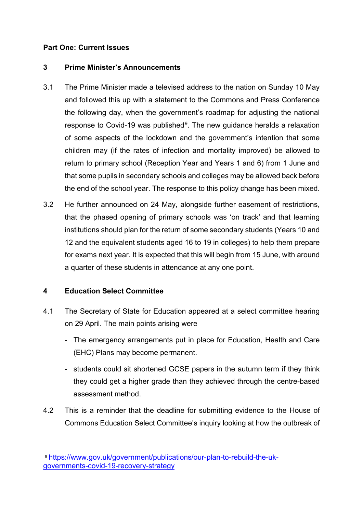### **Part One: Current Issues**

#### **3 Prime Minister's Announcements**

- 3.1 The Prime Minister made a televised address to the nation on Sunday 10 May and followed this up with a statement to the Commons and Press Conference the following day, when the government's roadmap for adjusting the national response to Covid-19 was published<sup>9</sup>. The new guidance heralds a relaxation of some aspects of the lockdown and the government's intention that some children may (if the rates of infection and mortality improved) be allowed to return to primary school (Reception Year and Years 1 and 6) from 1 June and that some pupils in secondary schools and colleges may be allowed back before the end of the school year. The response to this policy change has been mixed.
- 3.2 He further announced on 24 May, alongside further easement of restrictions, that the phased opening of primary schools was 'on track' and that learning institutions should plan for the return of some secondary students (Years 10 and 12 and the equivalent students aged 16 to 19 in colleges) to help them prepare for exams next year. It is expected that this will begin from 15 June, with around a quarter of these students in attendance at any one point.

## **4 Education Select Committee**

- 4.1 The Secretary of State for Education appeared at a select committee hearing on 29 April. The main points arising were
	- The emergency arrangements put in place for Education, Health and Care (EHC) Plans may become permanent.
	- students could sit shortened GCSE papers in the autumn term if they think they could get a higher grade than they achieved through the centre-based assessment method.
- 4.2 This is a reminder that the deadline for submitting evidence to the House of Commons Education Select Committee's inquiry looking at how the outbreak of

<span id="page-2-0"></span><sup>9</sup> [https://www.gov.uk/government/publications/our-plan-to-rebuild-the-uk](https://www.gov.uk/government/publications/our-plan-to-rebuild-the-uk-governments-covid-19-recovery-strategy)[governments-covid-19-recovery-strategy](https://www.gov.uk/government/publications/our-plan-to-rebuild-the-uk-governments-covid-19-recovery-strategy)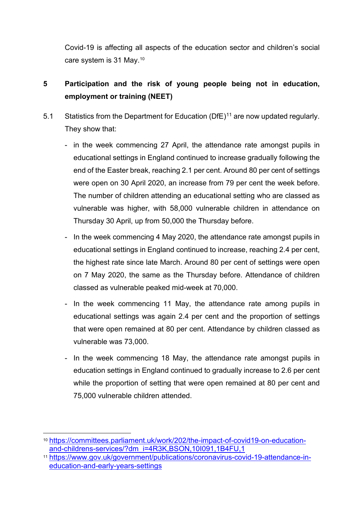Covid-19 is affecting all aspects of the education sector and children's social care system is 31 May.[10](#page-3-0)

# **5 Participation and the risk of young people being not in education, employment or training (NEET)**

- 5.1 Statistics from the Department for Education (DfE)<sup>[11](#page-3-1)</sup> are now updated regularly. They show that:
	- in the week commencing 27 April, the attendance rate amongst pupils in educational settings in England continued to increase gradually following the end of the Easter break, reaching 2.1 per cent. Around 80 per cent of settings were open on 30 April 2020, an increase from 79 per cent the week before. The number of children attending an educational setting who are classed as vulnerable was higher, with 58,000 vulnerable children in attendance on Thursday 30 April, up from 50,000 the Thursday before.
	- In the week commencing 4 May 2020, the attendance rate amongst pupils in educational settings in England continued to increase, reaching 2.4 per cent, the highest rate since late March. Around 80 per cent of settings were open on 7 May 2020, the same as the Thursday before. Attendance of children classed as vulnerable peaked mid-week at 70,000.
	- In the week commencing 11 May, the attendance rate among pupils in educational settings was again 2.4 per cent and the proportion of settings that were open remained at 80 per cent. Attendance by children classed as vulnerable was 73,000.
	- In the week commencing 18 May, the attendance rate amongst pupils in education settings in England continued to gradually increase to 2.6 per cent while the proportion of setting that were open remained at 80 per cent and 75,000 vulnerable children attended.

<span id="page-3-0"></span><sup>10</sup> [https://committees.parliament.uk/work/202/the-impact-of-covid19-on-education](https://committees.parliament.uk/work/202/the-impact-of-covid19-on-education-and-childrens-services/?dm_i=4R3K,BSON,10I091,1B4FU,1)[and-childrens-services/?dm\\_i=4R3K,BSON,10I091,1B4FU,1](https://committees.parliament.uk/work/202/the-impact-of-covid19-on-education-and-childrens-services/?dm_i=4R3K,BSON,10I091,1B4FU,1)

<span id="page-3-1"></span><sup>11</sup> [https://www.gov.uk/government/publications/coronavirus-covid-19-attendance-in](https://www.gov.uk/government/publications/coronavirus-covid-19-attendance-in-education-and-early-years-settings)[education-and-early-years-settings](https://www.gov.uk/government/publications/coronavirus-covid-19-attendance-in-education-and-early-years-settings)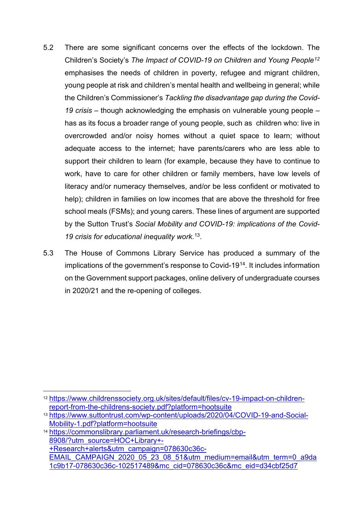- 5.2 There are some significant concerns over the effects of the lockdown. The Children's Society's *The Impact of COVID-19 on Children and Young People[12](#page-4-0)* emphasises the needs of children in poverty, refugee and migrant children, young people at risk and children's mental health and wellbeing in general; while the Children's Commissioner's *Tackling the disadvantage gap during the Covid-19 crisis* – though acknowledging the emphasis on vulnerable young people – has as its focus a broader range of young people, such as children who: live in overcrowded and/or noisy homes without a quiet space to learn; without adequate access to the internet; have parents/carers who are less able to support their children to learn (for example, because they have to continue to work, have to care for other children or family members, have low levels of literacy and/or numeracy themselves, and/or be less confident or motivated to help); children in families on low incomes that are above the threshold for free school meals (FSMs); and young carers. These lines of argument are supported by the Sutton Trust's *Social Mobility and COVID-19: implications of the Covid-19 crisis for educational inequality work*. [13.](#page-4-1)
- 5.3 The House of Commons Library Service has produced a summary of the implications of the government's response to Covid-19[14](#page-4-2). It includes information on the Government support packages, online delivery of undergraduate courses in 2020/21 and the re-opening of colleges.

<span id="page-4-0"></span><sup>12</sup> [https://www.childrenssociety.org.uk/sites/default/files/cv-19-impact-on-children](https://www.childrenssociety.org.uk/sites/default/files/cv-19-impact-on-children-report-from-the-childrens-society.pdf?platform=hootsuite)[report-from-the-childrens-society.pdf?platform=hootsuite](https://www.childrenssociety.org.uk/sites/default/files/cv-19-impact-on-children-report-from-the-childrens-society.pdf?platform=hootsuite)

<span id="page-4-1"></span><sup>13</sup> [https://www.suttontrust.com/wp-content/uploads/2020/04/COVID-19-and-Social-](https://www.suttontrust.com/wp-content/uploads/2020/04/COVID-19-and-Social-Mobility-1.pdf?platform=hootsuite)[Mobility-1.pdf?platform=hootsuite](https://www.suttontrust.com/wp-content/uploads/2020/04/COVID-19-and-Social-Mobility-1.pdf?platform=hootsuite)

<span id="page-4-2"></span><sup>14</sup> [https://commonslibrary.parliament.uk/research-briefings/cbp-](https://commonslibrary.parliament.uk/research-briefings/cbp-8908/?utm_source=HOC+Library+-+Research+alerts&utm_campaign=078630c36c-EMAIL_CAMPAIGN_2020_05_23_08_51&utm_medium=email&utm_term=0_a9da1c9b17-078630c36c-102517489&mc_cid=078630c36c&mc_eid=d34cbf25d7)[8908/?utm\\_source=HOC+Library+-](https://commonslibrary.parliament.uk/research-briefings/cbp-8908/?utm_source=HOC+Library+-+Research+alerts&utm_campaign=078630c36c-EMAIL_CAMPAIGN_2020_05_23_08_51&utm_medium=email&utm_term=0_a9da1c9b17-078630c36c-102517489&mc_cid=078630c36c&mc_eid=d34cbf25d7) [+Research+alerts&utm\\_campaign=078630c36c-](https://commonslibrary.parliament.uk/research-briefings/cbp-8908/?utm_source=HOC+Library+-+Research+alerts&utm_campaign=078630c36c-EMAIL_CAMPAIGN_2020_05_23_08_51&utm_medium=email&utm_term=0_a9da1c9b17-078630c36c-102517489&mc_cid=078630c36c&mc_eid=d34cbf25d7)[EMAIL\\_CAMPAIGN\\_2020\\_05\\_23\\_08\\_51&utm\\_medium=email&utm\\_term=0\\_a9da](https://commonslibrary.parliament.uk/research-briefings/cbp-8908/?utm_source=HOC+Library+-+Research+alerts&utm_campaign=078630c36c-EMAIL_CAMPAIGN_2020_05_23_08_51&utm_medium=email&utm_term=0_a9da1c9b17-078630c36c-102517489&mc_cid=078630c36c&mc_eid=d34cbf25d7) [1c9b17-078630c36c-102517489&mc\\_cid=078630c36c&mc\\_eid=d34cbf25d7](https://commonslibrary.parliament.uk/research-briefings/cbp-8908/?utm_source=HOC+Library+-+Research+alerts&utm_campaign=078630c36c-EMAIL_CAMPAIGN_2020_05_23_08_51&utm_medium=email&utm_term=0_a9da1c9b17-078630c36c-102517489&mc_cid=078630c36c&mc_eid=d34cbf25d7)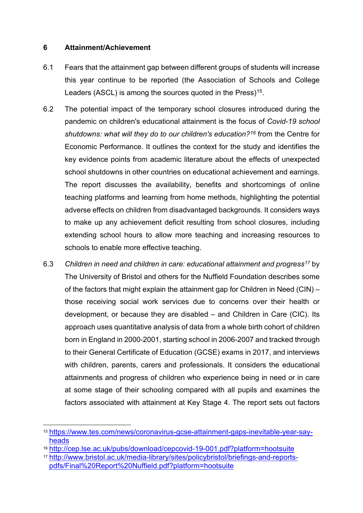### **6 Attainment/Achievement**

- 6.1 Fears that the attainment gap between different groups of students will increase this year continue to be reported (the Association of Schools and College Leaders (ASCL) is among the sources quoted in the Press)<sup>15</sup>.
- 6.2 The potential impact of the temporary school closures introduced during the pandemic on children's educational attainment is the focus of *Covid-19 school shutdowns: what will they do to our children's education?[16](#page-5-1)* from the Centre for Economic Performance. It outlines the context for the study and identifies the key evidence points from academic literature about the effects of unexpected school shutdowns in other countries on educational achievement and earnings. The report discusses the availability, benefits and shortcomings of online teaching platforms and learning from home methods, highlighting the potential adverse effects on children from disadvantaged backgrounds. It considers ways to make up any achievement deficit resulting from school closures, including extending school hours to allow more teaching and increasing resources to schools to enable more effective teaching.
- 6.3 *Children in need and children in care: educational attainment and progress[17](#page-5-2)* by The University of Bristol and others for the Nuffield Foundation describes some of the factors that might explain the attainment gap for Children in Need (CIN) – those receiving social work services due to concerns over their health or development, or because they are disabled – and Children in Care (CIC). Its approach uses quantitative analysis of data from a whole birth cohort of children born in England in 2000-2001, starting school in 2006-2007 and tracked through to their General Certificate of Education (GCSE) exams in 2017, and interviews with children, parents, carers and professionals. It considers the educational attainments and progress of children who experience being in need or in care at some stage of their schooling compared with all pupils and examines the factors associated with attainment at Key Stage 4. The report sets out factors

- <span id="page-5-1"></span><sup>16</sup> <http://cep.lse.ac.uk/pubs/download/cepcovid-19-001.pdf?platform=hootsuite>
- <span id="page-5-2"></span><sup>17</sup> [http://www.bristol.ac.uk/media-library/sites/policybristol/briefings-and-reports](http://www.bristol.ac.uk/media-library/sites/policybristol/briefings-and-reports-pdfs/Final%20Report%20Nuffield.pdf?platform=hootsuite)[pdfs/Final%20Report%20Nuffield.pdf?platform=hootsuite](http://www.bristol.ac.uk/media-library/sites/policybristol/briefings-and-reports-pdfs/Final%20Report%20Nuffield.pdf?platform=hootsuite)

<span id="page-5-0"></span><sup>15</sup> [https://www.tes.com/news/coronavirus-gcse-attainment-gaps-inevitable-year-say](https://www.tes.com/news/coronavirus-gcse-attainment-gaps-inevitable-year-say-heads)[heads](https://www.tes.com/news/coronavirus-gcse-attainment-gaps-inevitable-year-say-heads)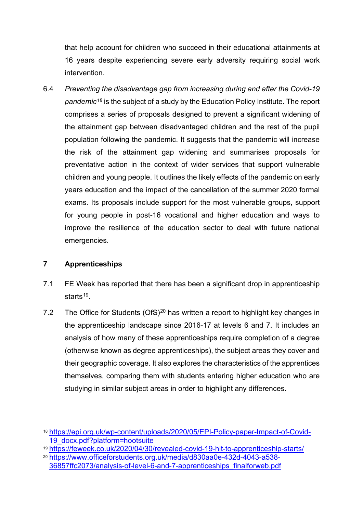that help account for children who succeed in their educational attainments at 16 years despite experiencing severe early adversity requiring social work intervention.

6.4 *Preventing the disadvantage gap from increasing during and after the Covid-19 pandemic[18](#page-6-0)* is the subject of a study by the Education Policy Institute. The report comprises a series of proposals designed to prevent a significant widening of the attainment gap between disadvantaged children and the rest of the pupil population following the pandemic. It suggests that the pandemic will increase the risk of the attainment gap widening and summarises proposals for preventative action in the context of wider services that support vulnerable children and young people. It outlines the likely effects of the pandemic on early years education and the impact of the cancellation of the summer 2020 formal exams. Its proposals include support for the most vulnerable groups, support for young people in post-16 vocational and higher education and ways to improve the resilience of the education sector to deal with future national emergencies.

## **7 Apprenticeships**

- 7.1 FE Week has reported that there has been a significant drop in apprenticeship starts<sup>[19](#page-6-1)</sup>.
- 7.2 The Office for Students (OfS)<sup>[20](#page-6-2)</sup> has written a report to highlight key changes in the apprenticeship landscape since 2016-17 at levels 6 and 7. It includes an analysis of how many of these apprenticeships require completion of a degree (otherwise known as degree apprenticeships), the subject areas they cover and their geographic coverage. It also explores the characteristics of the apprentices themselves, comparing them with students entering higher education who are studying in similar subject areas in order to highlight any differences.

<span id="page-6-0"></span><sup>18</sup> [https://epi.org.uk/wp-content/uploads/2020/05/EPI-Policy-paper-Impact-of-Covid-](https://epi.org.uk/wp-content/uploads/2020/05/EPI-Policy-paper-Impact-of-Covid-19_docx.pdf?platform=hootsuite)[19\\_docx.pdf?platform=hootsuite](https://epi.org.uk/wp-content/uploads/2020/05/EPI-Policy-paper-Impact-of-Covid-19_docx.pdf?platform=hootsuite)

<span id="page-6-1"></span><sup>19</sup> <https://feweek.co.uk/2020/04/30/revealed-covid-19-hit-to-apprenticeship-starts/>20 https://www.officeforstudents.org.uk/media/d830aa0e-432d-4043-a538-

<span id="page-6-2"></span>[<sup>36857</sup>ffc2073/analysis-of-level-6-and-7-apprenticeships\\_finalforweb.pdf](https://www.officeforstudents.org.uk/media/d830aa0e-432d-4043-a538-36857ffc2073/analysis-of-level-6-and-7-apprenticeships_finalforweb.pdf)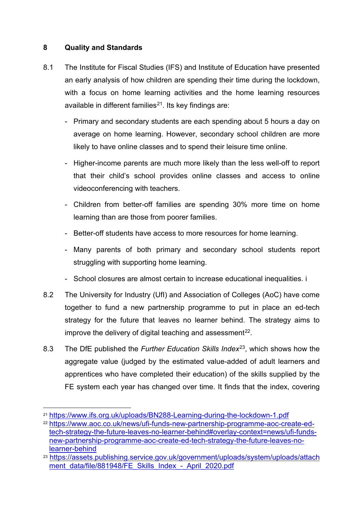## **8 Quality and Standards**

- 8.1 The Institute for Fiscal Studies (IFS) and Institute of Education have presented an early analysis of how children are spending their time during the lockdown, with a focus on home learning activities and the home learning resources available in different families<sup>21</sup>. Its key findings are:
	- Primary and secondary students are each spending about 5 hours a day on average on home learning. However, secondary school children are more likely to have online classes and to spend their leisure time online.
	- Higher-income parents are much more likely than the less well-off to report that their child's school provides online classes and access to online videoconferencing with teachers.
	- Children from better-off families are spending 30% more time on home learning than are those from poorer families.
	- Better-off students have access to more resources for home learning.
	- Many parents of both primary and secondary school students report struggling with supporting home learning.
	- School closures are almost certain to increase educational inequalities. i
- 8.2 The University for Industry (UfI) and Association of Colleges (AoC) have come together to fund a new partnership programme to put in place an ed-tech strategy for the future that leaves no learner behind. The strategy aims to improve the delivery of digital teaching and assessment $^{22}$ .
- 8.3 The DfE published the *Further Education Skills Index*[23,](#page-7-2) which shows how the aggregate value (judged by the estimated value-added of adult learners and apprentices who have completed their education) of the skills supplied by the FE system each year has changed over time. It finds that the index, covering

<span id="page-7-0"></span><sup>21</sup> <https://www.ifs.org.uk/uploads/BN288-Learning-during-the-lockdown-1.pdf>

<span id="page-7-1"></span><sup>22</sup> [https://www.aoc.co.uk/news/ufi-funds-new-partnership-programme-aoc-create-ed](https://www.aoc.co.uk/news/ufi-funds-new-partnership-programme-aoc-create-ed-tech-strategy-the-future-leaves-no-learner-behind#overlay-context=news/ufi-funds-new-partnership-programme-aoc-create-ed-tech-strategy-the-future-leaves-no-learner-behind)[tech-strategy-the-future-leaves-no-learner-behind#overlay-context=news/ufi-funds](https://www.aoc.co.uk/news/ufi-funds-new-partnership-programme-aoc-create-ed-tech-strategy-the-future-leaves-no-learner-behind#overlay-context=news/ufi-funds-new-partnership-programme-aoc-create-ed-tech-strategy-the-future-leaves-no-learner-behind)[new-partnership-programme-aoc-create-ed-tech-strategy-the-future-leaves-no](https://www.aoc.co.uk/news/ufi-funds-new-partnership-programme-aoc-create-ed-tech-strategy-the-future-leaves-no-learner-behind#overlay-context=news/ufi-funds-new-partnership-programme-aoc-create-ed-tech-strategy-the-future-leaves-no-learner-behind)[learner-behind](https://www.aoc.co.uk/news/ufi-funds-new-partnership-programme-aoc-create-ed-tech-strategy-the-future-leaves-no-learner-behind#overlay-context=news/ufi-funds-new-partnership-programme-aoc-create-ed-tech-strategy-the-future-leaves-no-learner-behind)

<span id="page-7-2"></span><sup>23</sup>[.https://assets.publishing.service.gov.uk/government/uploads/system/uploads/attach](https://assets.publishing.service.gov.uk/government/uploads/system/uploads/attachment_data/file/881948/FE_Skills_Index_-_April_2020.pdf) [ment\\_data/file/881948/FE\\_Skills\\_Index\\_-\\_April\\_2020.pdf](https://assets.publishing.service.gov.uk/government/uploads/system/uploads/attachment_data/file/881948/FE_Skills_Index_-_April_2020.pdf)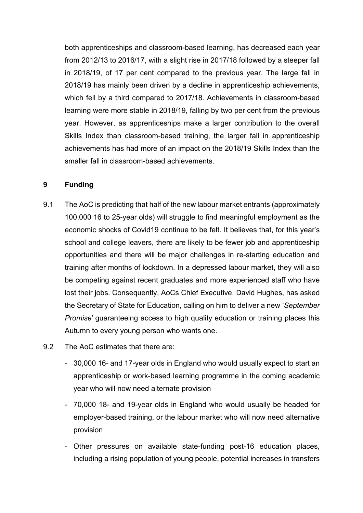both apprenticeships and classroom-based learning, has decreased each year from 2012/13 to 2016/17, with a slight rise in 2017/18 followed by a steeper fall in 2018/19, of 17 per cent compared to the previous year. The large fall in 2018/19 has mainly been driven by a decline in apprenticeship achievements, which fell by a third compared to 2017/18. Achievements in classroom-based learning were more stable in 2018/19, falling by two per cent from the previous year. However, as apprenticeships make a larger contribution to the overall Skills Index than classroom-based training, the larger fall in apprenticeship achievements has had more of an impact on the 2018/19 Skills Index than the smaller fall in classroom-based achievements.

#### **9 Funding**

- 9.1 The AoC is predicting that half of the new labour market entrants (approximately 100,000 16 to 25-year olds) will struggle to find meaningful employment as the economic shocks of Covid19 continue to be felt. It believes that, for this year's school and college leavers, there are likely to be fewer job and apprenticeship opportunities and there will be major challenges in re-starting education and training after months of lockdown. In a depressed labour market, they will also be competing against recent graduates and more experienced staff who have lost their jobs. Consequently, AoCs Chief Executive, David Hughes, has asked the Secretary of State for Education, calling on him to deliver a new '*September Promise*' guaranteeing access to high quality education or training places this Autumn to every young person who wants one.
- 9.2 The AoC estimates that there are:
	- 30,000 16- and 17-year olds in England who would usually expect to start an apprenticeship or work-based learning programme in the coming academic year who will now need alternate provision
	- 70,000 18- and 19-year olds in England who would usually be headed for employer-based training, or the labour market who will now need alternative provision
	- Other pressures on available state-funding post-16 education places, including a rising population of young people, potential increases in transfers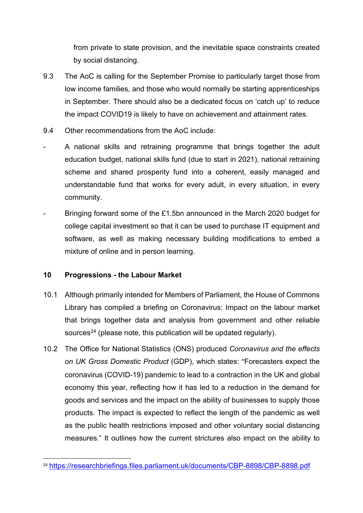from private to state provision, and the inevitable space constraints created by social distancing.

- 9.3 The AoC is calling for the September Promise to particularly target those from low income families, and those who would normally be starting apprenticeships in September. There should also be a dedicated focus on 'catch up' to reduce the impact COVID19 is likely to have on achievement and attainment rates.
- 9.4 Other recommendations from the AoC include:
- A national skills and retraining programme that brings together the adult education budget, national skills fund (due to start in 2021), national retraining scheme and shared prosperity fund into a coherent, easily managed and understandable fund that works for every adult, in every situation, in every community.
- Bringing forward some of the £1.5bn announced in the March 2020 budget for college capital investment so that it can be used to purchase IT equipment and software, as well as making necessary building modifications to embed a mixture of online and in person learning.

## **10 Progressions - the Labour Market**

- 10.1 Although primarily intended for Members of Parliament, the House of Commons Library has compiled a briefing on Coronavirus: Impact on the labour market that brings together data and analysis from government and other reliable sources<sup>[24](#page-9-0)</sup> (please note, this publication will be updated regularly).
- 10.2 The Office for National Statistics (ONS) produced *Coronavirus and the effects on UK Gross Domestic Product* (GDP), which states: "Forecasters expect the coronavirus (COVID-19) pandemic to lead to a contraction in the UK and global economy this year, reflecting how it has led to a reduction in the demand for goods and services and the impact on the ability of businesses to supply those products. The impact is expected to reflect the length of the pandemic as well as the public health restrictions imposed and other voluntary social distancing measures." It outlines how the current strictures also impact on the ability to

<span id="page-9-0"></span><sup>24</sup> <https://researchbriefings.files.parliament.uk/documents/CBP-8898/CBP-8898.pdf>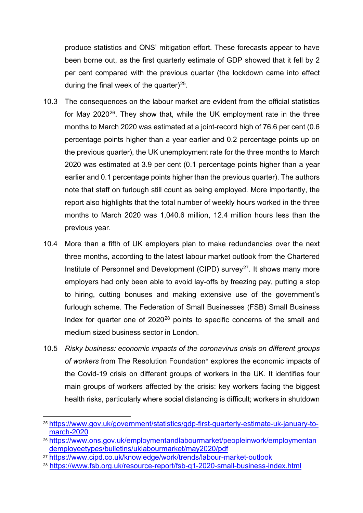produce statistics and ONS' mitigation effort. These forecasts appear to have been borne out, as the first quarterly estimate of GDP showed that it fell by 2 per cent compared with the previous quarter (the lockdown came into effect during the final week of the quarter) $25$ .

- 10.3 The consequences on the labour market are evident from the official statistics for May 2020<sup>26</sup>. They show that, while the UK employment rate in the three months to March 2020 was estimated at a joint-record high of 76.6 per cent (0.6 percentage points higher than a year earlier and 0.2 percentage points up on the previous quarter), the UK unemployment rate for the three months to March 2020 was estimated at 3.9 per cent (0.1 percentage points higher than a year earlier and 0.1 percentage points higher than the previous quarter). The authors note that staff on furlough still count as being employed. More importantly, the report also highlights that the total number of weekly hours worked in the three months to March 2020 was 1,040.6 million, 12.4 million hours less than the previous year.
- 10.4 More than a fifth of UK employers plan to make redundancies over the next three months, according to the latest labour market outlook from the Chartered Institute of Personnel and Development (CIPD) survey<sup>[27](#page-10-2)</sup>. It shows many more employers had only been able to avoid lay-offs by freezing pay, putting a stop to hiring, cutting bonuses and making extensive use of the government's furlough scheme. The Federation of Small Businesses (FSB) Small Business Index for quarter one of 2020<sup>[28](#page-10-3)</sup> points to specific concerns of the small and medium sized business sector in London.
- 10.5 *Risky business: economic impacts of the coronavirus crisis on different groups of workers* from The Resolution Foundation\* explores the economic impacts of the Covid-19 crisis on different groups of workers in the UK. It identifies four main groups of workers affected by the crisis: key workers facing the biggest health risks, particularly where social distancing is difficult; workers in shutdown

<span id="page-10-2"></span><sup>27</sup> <https://www.cipd.co.uk/knowledge/work/trends/labour-market-outlook>

<span id="page-10-0"></span><sup>25</sup> [https://www.gov.uk/government/statistics/gdp-first-quarterly-estimate-uk-january-to](https://www.gov.uk/government/statistics/gdp-first-quarterly-estimate-uk-january-to-march-2020)[march-2020](https://www.gov.uk/government/statistics/gdp-first-quarterly-estimate-uk-january-to-march-2020)

<span id="page-10-1"></span><sup>26</sup>[.https://www.ons.gov.uk/employmentandlabourmarket/peopleinwork/employmentan](https://www.ons.gov.uk/employmentandlabourmarket/peopleinwork/employmentandemployeetypes/bulletins/uklabourmarket/may2020/pdf) [demployeetypes/bulletins/uklabourmarket/may2020/pdf](https://www.ons.gov.uk/employmentandlabourmarket/peopleinwork/employmentandemployeetypes/bulletins/uklabourmarket/may2020/pdf)

<span id="page-10-3"></span><sup>28</sup> <https://www.fsb.org.uk/resource-report/fsb-q1-2020-small-business-index.html>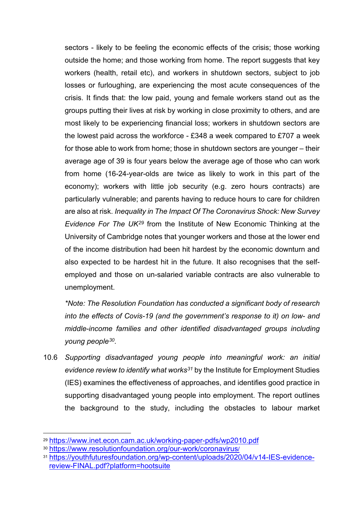sectors - likely to be feeling the economic effects of the crisis; those working outside the home; and those working from home. The report suggests that key workers (health, retail etc), and workers in shutdown sectors, subject to job losses or furloughing, are experiencing the most acute consequences of the crisis. It finds that: the low paid, young and female workers stand out as the groups putting their lives at risk by working in close proximity to others, and are most likely to be experiencing financial loss; workers in shutdown sectors are the lowest paid across the workforce - £348 a week compared to £707 a week for those able to work from home; those in shutdown sectors are younger – their average age of 39 is four years below the average age of those who can work from home (16-24-year-olds are twice as likely to work in this part of the economy); workers with little job security (e.g. zero hours contracts) are particularly vulnerable; and parents having to reduce hours to care for children are also at risk. *Inequality in The Impact Of The Coronavirus Shock: New Survey Evidence For The UK[29](#page-11-0)* from the Institute of New Economic Thinking at the University of Cambridge notes that younger workers and those at the lower end of the income distribution had been hit hardest by the economic downturn and also expected to be hardest hit in the future. It also recognises that the selfemployed and those on un-salaried variable contracts are also vulnerable to unemployment.

*\*Note: The Resolution Foundation has conducted a significant body of research into the effects of Covis-19 (and the government's response to it) on low- and middle-income families and other identified disadvantaged groups including young people[30.](#page-11-1)*

10.6 *Supporting disadvantaged young people into meaningful work: an initial evidence review to identify what work[s31](#page-11-2)* by the Institute for Employment Studies (IES) examines the effectiveness of approaches, and identifies good practice in supporting disadvantaged young people into employment. The report outlines the background to the study, including the obstacles to labour market

<span id="page-11-0"></span><sup>29</sup> <https://www.inet.econ.cam.ac.uk/working-paper-pdfs/wp2010.pdf>

<span id="page-11-1"></span><sup>30</sup> <https://www.resolutionfoundation.org/our-work/coronavirus/>

<span id="page-11-2"></span><sup>31</sup> [https://youthfuturesfoundation.org/wp-content/uploads/2020/04/v14-IES-evidence](https://youthfuturesfoundation.org/wp-content/uploads/2020/04/v14-IES-evidence-review-FINAL.pdf?platform=hootsuite)[review-FINAL.pdf?platform=hootsuite](https://youthfuturesfoundation.org/wp-content/uploads/2020/04/v14-IES-evidence-review-FINAL.pdf?platform=hootsuite)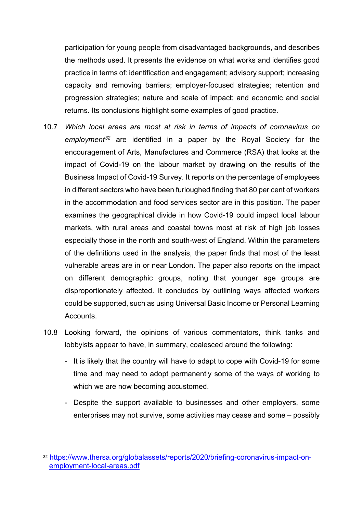participation for young people from disadvantaged backgrounds, and describes the methods used. It presents the evidence on what works and identifies good practice in terms of: identification and engagement; advisory support; increasing capacity and removing barriers; employer-focused strategies; retention and progression strategies; nature and scale of impact; and economic and social returns. Its conclusions highlight some examples of good practice.

- 10.7 *Which local areas are most at risk in terms of impacts of coronavirus on employment[32](#page-12-0)* are identified in a paper by the Royal Society for the encouragement of Arts, Manufactures and Commerce (RSA) that looks at the impact of Covid-19 on the labour market by drawing on the results of the Business Impact of Covid-19 Survey. It reports on the percentage of employees in different sectors who have been furloughed finding that 80 per cent of workers in the accommodation and food services sector are in this position. The paper examines the geographical divide in how Covid-19 could impact local labour markets, with rural areas and coastal towns most at risk of high job losses especially those in the north and south-west of England. Within the parameters of the definitions used in the analysis, the paper finds that most of the least vulnerable areas are in or near London. The paper also reports on the impact on different demographic groups, noting that younger age groups are disproportionately affected. It concludes by outlining ways affected workers could be supported, such as using Universal Basic Income or Personal Learning Accounts.
- 10.8 Looking forward, the opinions of various commentators, think tanks and lobbyists appear to have, in summary, coalesced around the following:
	- It is likely that the country will have to adapt to cope with Covid-19 for some time and may need to adopt permanently some of the ways of working to which we are now becoming accustomed.
	- Despite the support available to businesses and other employers, some enterprises may not survive, some activities may cease and some – possibly

<span id="page-12-0"></span><sup>32</sup> [https://www.thersa.org/globalassets/reports/2020/briefing-coronavirus-impact-on](https://www.thersa.org/globalassets/reports/2020/briefing-coronavirus-impact-on-employment-local-areas.pdf)[employment-local-areas.pdf](https://www.thersa.org/globalassets/reports/2020/briefing-coronavirus-impact-on-employment-local-areas.pdf)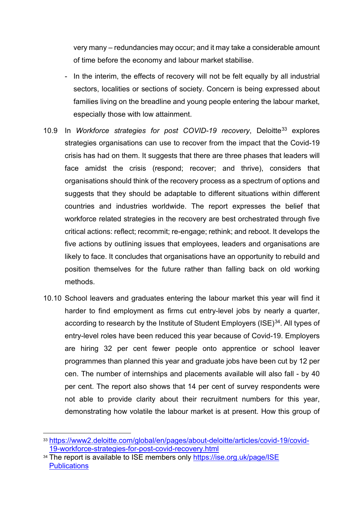very many – redundancies may occur; and it may take a considerable amount of time before the economy and labour market stabilise.

- In the interim, the effects of recovery will not be felt equally by all industrial sectors, localities or sections of society. Concern is being expressed about families living on the breadline and young people entering the labour market, especially those with low attainment.
- 10.9 In *Workforce strategies for post COVID-19 recovery*, Deloitte<sup>[33](#page-13-0)</sup> explores strategies organisations can use to recover from the impact that the Covid-19 crisis has had on them. It suggests that there are three phases that leaders will face amidst the crisis (respond; recover; and thrive), considers that organisations should think of the recovery process as a spectrum of options and suggests that they should be adaptable to different situations within different countries and industries worldwide. The report expresses the belief that workforce related strategies in the recovery are best orchestrated through five critical actions: reflect; recommit; re-engage; rethink; and reboot. It develops the five actions by outlining issues that employees, leaders and organisations are likely to face. It concludes that organisations have an opportunity to rebuild and position themselves for the future rather than falling back on old working methods.
- 10.10 School leavers and graduates entering the labour market this year will find it harder to find employment as firms cut entry-level jobs by nearly a quarter, according to research by the Institute of Student Employers (ISE)<sup>34</sup>. All types of entry-level roles have been reduced this year because of Covid-19. Employers are hiring 32 per cent fewer people onto apprentice or school leaver programmes than planned this year and graduate jobs have been cut by 12 per cen. The number of internships and placements available will also fall - by 40 per cent. The report also shows that 14 per cent of survey respondents were not able to provide clarity about their recruitment numbers for this year, demonstrating how volatile the labour market is at present. How this group of

<span id="page-13-0"></span><sup>33</sup> [https://www2.deloitte.com/global/en/pages/about-deloitte/articles/covid-19/covid-](https://www2.deloitte.com/global/en/pages/about-deloitte/articles/covid-19/covid-19-workforce-strategies-for-post-covid-recovery.html)[19-workforce-strategies-for-post-covid-recovery.html](https://www2.deloitte.com/global/en/pages/about-deloitte/articles/covid-19/covid-19-workforce-strategies-for-post-covid-recovery.html)

<span id="page-13-1"></span><sup>34</sup> The report is available to ISE members only https://ise.org.uk/page/ISE **[Publications](https://ise.org.uk/page/ISEPublications)**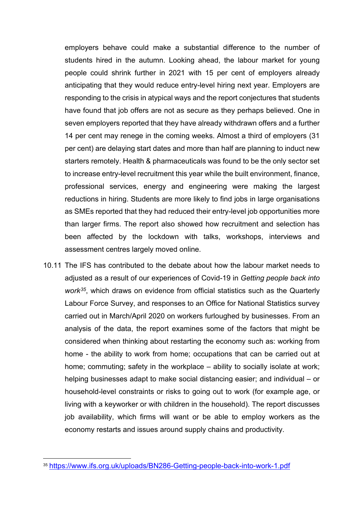employers behave could make a substantial difference to the number of students hired in the autumn. Looking ahead, the labour market for young people could shrink further in 2021 with 15 per cent of employers already anticipating that they would reduce entry-level hiring next year. Employers are responding to the crisis in atypical ways and the report conjectures that students have found that job offers are not as secure as they perhaps believed. One in seven employers reported that they have already withdrawn offers and a further 14 per cent may renege in the coming weeks. Almost a third of employers (31 per cent) are delaying start dates and more than half are planning to induct new starters remotely. Health & pharmaceuticals was found to be the only sector set to increase entry-level recruitment this year while the built environment, finance, professional services, energy and engineering were making the largest reductions in hiring. Students are more likely to find jobs in large organisations as SMEs reported that they had reduced their entry-level job opportunities more than larger firms. The report also showed how recruitment and selection has been affected by the lockdown with talks, workshops, interviews and assessment centres largely moved online.

10.11 The IFS has contributed to the debate about how the labour market needs to adjusted as a result of our experiences of Covid-19 in *Getting people back into work[35](#page-14-0)*, which draws on evidence from official statistics such as the Quarterly Labour Force Survey, and responses to an Office for National Statistics survey carried out in March/April 2020 on workers furloughed by businesses. From an analysis of the data, the report examines some of the factors that might be considered when thinking about restarting the economy such as: working from home - the ability to work from home; occupations that can be carried out at home; commuting; safety in the workplace – ability to socially isolate at work; helping businesses adapt to make social distancing easier; and individual – or household-level constraints or risks to going out to work (for example age, or living with a keyworker or with children in the household). The report discusses job availability, which firms will want or be able to employ workers as the economy restarts and issues around supply chains and productivity.

<span id="page-14-0"></span><sup>35</sup> <https://www.ifs.org.uk/uploads/BN286-Getting-people-back-into-work-1.pdf>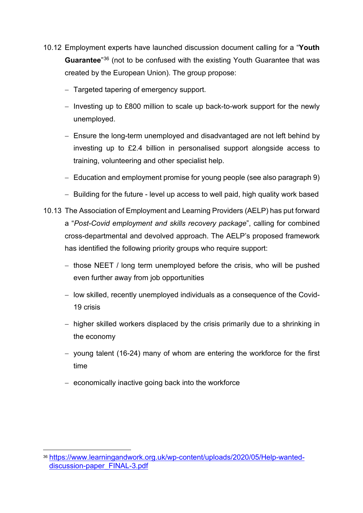- 10.12 Employment experts have launched discussion document calling for a "**Youth Guarantee**"[36](#page-15-0) (not to be confused with the existing Youth Guarantee that was created by the European Union). The group propose:
	- − Targeted tapering of emergency support.
	- − Investing up to £800 million to scale up back-to-work support for the newly unemployed.
	- − Ensure the long-term unemployed and disadvantaged are not left behind by investing up to £2.4 billion in personalised support alongside access to training, volunteering and other specialist help.
	- − Education and employment promise for young people (see also paragraph 9)
	- − Building for the future level up access to well paid, high quality work based
- 10.13 The Association of Employment and Learning Providers (AELP) has put forward a "*Post-Covid employment and skills recovery package*", calling for combined cross-departmental and devolved approach. The AELP's proposed framework has identified the following priority groups who require support:
	- − those NEET / long term unemployed before the crisis, who will be pushed even further away from job opportunities
	- − low skilled, recently unemployed individuals as a consequence of the Covid-19 crisis
	- − higher skilled workers displaced by the crisis primarily due to a shrinking in the economy
	- − young talent (16-24) many of whom are entering the workforce for the first time
	- − economically inactive going back into the workforce

<span id="page-15-0"></span><sup>36</sup> [https://www.learningandwork.org.uk/wp-content/uploads/2020/05/Help-wanted](https://www.learningandwork.org.uk/wp-content/uploads/2020/05/Help-wanted-discussion-paper_FINAL-3.pdf)[discussion-paper\\_FINAL-3.pdf](https://www.learningandwork.org.uk/wp-content/uploads/2020/05/Help-wanted-discussion-paper_FINAL-3.pdf)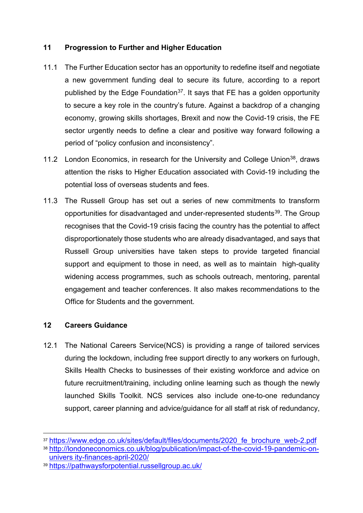## **11 Progression to Further and Higher Education**

- 11.1 The Further Education sector has an opportunity to redefine itself and negotiate a new government funding deal to secure its future, according to a report published by the Edge Foundation<sup>37</sup>. It says that FE has a golden opportunity to secure a key role in the country's future. Against a backdrop of a changing economy, growing skills shortages, Brexit and now the Covid-19 crisis, the FE sector urgently needs to define a clear and positive way forward following a period of "policy confusion and inconsistency".
- 11.2 London Economics, in research for the University and College Union<sup>38</sup>, draws attention the risks to Higher Education associated with Covid-19 including the potential loss of overseas students and fees.
- 11.3 The Russell Group has set out a series of new commitments to transform opportunities for disadvantaged and under-represented students<sup>[39](#page-16-2)</sup>. The Group recognises that the Covid-19 crisis facing the country has the potential to affect disproportionately those students who are already disadvantaged, and says that Russell Group universities have taken steps to provide targeted financial support and equipment to those in need, as well as to maintain high-quality widening access programmes, such as schools outreach, mentoring, parental engagement and teacher conferences. It also makes recommendations to the Office for Students and the government.

## **12 Careers Guidance**

12.1 The National Careers Service(NCS) is providing a range of tailored services during the lockdown, including free support directly to any workers on furlough, Skills Health Checks to businesses of their existing workforce and advice on future recruitment/training, including online learning such as though the newly launched Skills Toolkit. NCS services also include one-to-one redundancy support, career planning and advice/guidance for all staff at risk of redundancy,

<span id="page-16-0"></span><sup>&</sup>lt;sup>37</sup> [https://www.edge.co.uk/sites/default/files/documents/2020\\_fe\\_brochure\\_web-2.pdf](https://www.edge.co.uk/sites/default/files/documents/2020_fe_brochure_web-2.pdf)

<span id="page-16-1"></span><sup>38</sup> [http://londoneconomics.co.uk/blog/publication/impact-of-the-covid-19-pandemic-on](http://londoneconomics.co.uk/blog/publication/impact-of-the-covid-19-pandemic-on-univers%20ity-finances-april-2020/)[univers ity-finances-april-2020/](http://londoneconomics.co.uk/blog/publication/impact-of-the-covid-19-pandemic-on-univers%20ity-finances-april-2020/)

<span id="page-16-2"></span><sup>39</sup> <https://pathwaysforpotential.russellgroup.ac.uk/>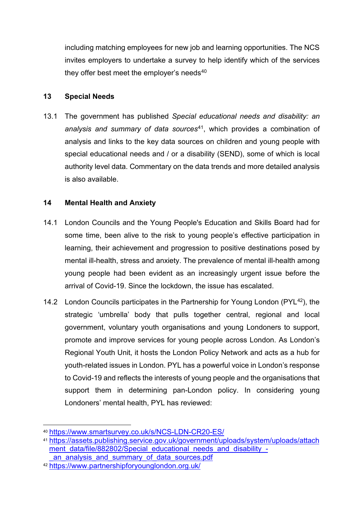including matching employees for new job and learning opportunities. The NCS invites employers to undertake a survey to help identify which of the services they offer best meet the employer's needs $40$ 

### **13 Special Needs**

13.1 The government has published *Special educational needs and disability: an analysis and summary of data sources*[41,](#page-17-1) which provides a combination of analysis and links to the key data sources on children and young people with special educational needs and / or a disability (SEND), some of which is local authority level data. Commentary on the data trends and more detailed analysis is also available.

## **14 Mental Health and Anxiety**

- 14.1 London Councils and the Young People's Education and Skills Board had for some time, been alive to the risk to young people's effective participation in learning, their achievement and progression to positive destinations posed by mental ill-health, stress and anxiety. The prevalence of mental ill-health among young people had been evident as an increasingly urgent issue before the arrival of Covid-19. Since the lockdown, the issue has escalated.
- 14.2 London Councils participates in the Partnership for Young London (PYL $42$ ), the strategic 'umbrella' body that pulls together central, regional and local government, voluntary youth organisations and young Londoners to support, promote and improve services for young people across London. As London's Regional Youth Unit, it hosts the London Policy Network and acts as a hub for youth-related issues in London. PYL has a powerful voice in London's response to Covid-19 and reflects the interests of young people and the organisations that support them in determining pan-London policy. In considering young Londoners' mental health, PYL has reviewed:

<span id="page-17-0"></span><sup>40</sup> <https://www.smartsurvey.co.uk/s/NCS-LDN-CR20-ES/>

<span id="page-17-1"></span><sup>41</sup>[.https://assets.publishing.service.gov.uk/government/uploads/system/uploads/attach](https://assets.publishing.service.gov.uk/government/uploads/system/uploads/attachment_data/file/882802/Special_educational_needs_and_disability_-_an_analysis_and_summary_of_data_sources.pdf) ment data/file/882802/Special educational needs and disability an analysis and summary of data sources.pdf

<span id="page-17-2"></span><sup>42</sup> <https://www.partnershipforyounglondon.org.uk/>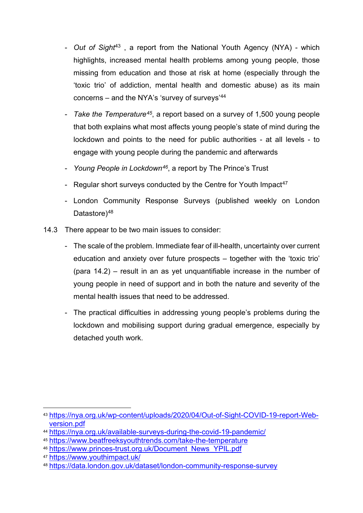- *Out of Sight*[43](#page-18-0) , a report from the National Youth Agency (NYA) which highlights, increased mental health problems among young people, those missing from education and those at risk at home (especially through the 'toxic trio' of addiction, mental health and domestic abuse) as its main concerns – and the NYA's 'survey of surveys' [44](#page-18-1)
- *Take the Temperature[45](#page-18-2)*, a report based on a survey of 1,500 young people that both explains what most affects young people's state of mind during the lockdown and points to the need for public authorities - at all levels - to engage with young people during the pandemic and afterwards
- *Young People in Lockdown[46](#page-18-3)*, a report by The Prince's Trust
- Regular short surveys conducted by the Centre for Youth Impact<sup>[47](#page-18-4)</sup>
- London Community Response Surveys (published weekly on London Datastore)<sup>[48](#page-18-5)</sup>
- 14.3 There appear to be two main issues to consider:
	- The scale of the problem. Immediate fear of ill-health, uncertainty over current education and anxiety over future prospects – together with the 'toxic trio' (para 14.2) – result in an as yet unquantifiable increase in the number of young people in need of support and in both the nature and severity of the mental health issues that need to be addressed.
	- The practical difficulties in addressing young people's problems during the lockdown and mobilising support during gradual emergence, especially by detached youth work.

<span id="page-18-0"></span><sup>43</sup> [https://nya.org.uk/wp-content/uploads/2020/04/Out-of-Sight-COVID-19-report-Web](https://nya.org.uk/wp-content/uploads/2020/04/Out-of-Sight-COVID-19-report-Web-version.pdf)[version.pdf](https://nya.org.uk/wp-content/uploads/2020/04/Out-of-Sight-COVID-19-report-Web-version.pdf)

<span id="page-18-1"></span><sup>44</sup> <https://nya.org.uk/available-surveys-during-the-covid-19-pandemic/>

<span id="page-18-2"></span><sup>45</sup> <https://www.beatfreeksyouthtrends.com/take-the-temperature>

<span id="page-18-3"></span><sup>46</sup> [https://www.princes-trust.org.uk/Document\\_News\\_YPIL.pdf](https://www.princes-trust.org.uk/Document_News_YPIL.pdf)

<span id="page-18-4"></span><sup>47</sup> <https://www.youthimpact.uk/>

<span id="page-18-5"></span><sup>48</sup> <https://data.london.gov.uk/dataset/london-community-response-survey>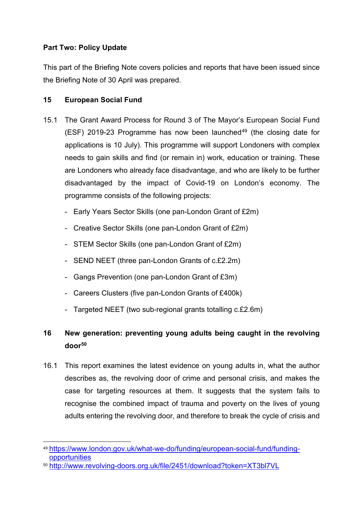## **Part Two: Policy Update**

This part of the Briefing Note covers policies and reports that have been issued since the Briefing Note of 30 April was prepared.

## **15 European Social Fund**

- 15.1 The Grant Award Process for Round 3 of The Mayor's European Social Fund (ESF) 2019-23 Programme has now been launched $49$  (the closing date for applications is 10 July). This programme will support Londoners with complex needs to gain skills and find (or remain in) work, education or training. These are Londoners who already face disadvantage, and who are likely to be further disadvantaged by the impact of Covid-19 on London's economy. The programme consists of the following projects:
	- Early Years Sector Skills (one pan-London Grant of £2m)
	- Creative Sector Skills (one pan-London Grant of £2m)
	- STEM Sector Skills (one pan-London Grant of £2m)
	- SEND NEET (three pan-London Grants of c.£2.2m)
	- Gangs Prevention (one pan-London Grant of £3m)
	- Careers Clusters (five pan-London Grants of £400k)
	- Targeted NEET (two sub-regional grants totalling c.£2.6m)

## **16 New generation: preventing young adults being caught in the revolving door[50](#page-19-1)**

16.1 This report examines the latest evidence on young adults in, what the author describes as, the revolving door of crime and personal crisis, and makes the case for targeting resources at them. It suggests that the system fails to recognise the combined impact of trauma and poverty on the lives of young adults entering the revolving door, and therefore to break the cycle of crisis and

<span id="page-19-0"></span><sup>49</sup> [https://www.london.gov.uk/what-we-do/funding/european-social-fund/funding](https://www.london.gov.uk/what-we-do/funding/european-social-fund/funding-opportunities)**[opportunities](https://www.london.gov.uk/what-we-do/funding/european-social-fund/funding-opportunities)** 

<span id="page-19-1"></span><sup>50</sup> <http://www.revolving-doors.org.uk/file/2451/download?token=XT3bl7VL>